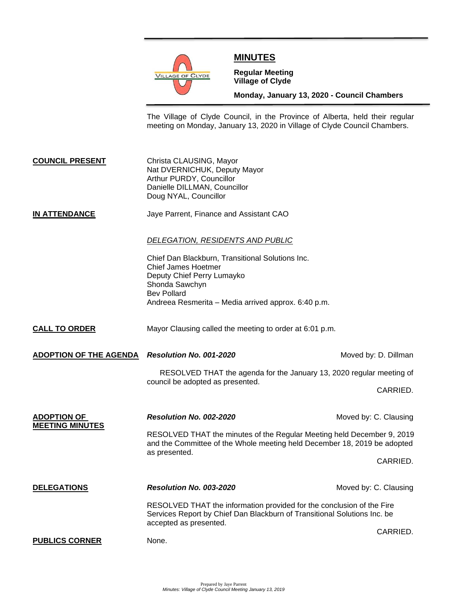

## **MINUTES**

**Regular Meeting Village of Clyde**

**Monday, January 13, 2020 - Council Chambers**

The Village of Clyde Council, in the Province of Alberta, held their regular meeting on Monday, January 13, 2020 in Village of Clyde Council Chambers.

**COUNCIL PRESENT** Christa CLAUSING, Mayor Nat DVERNICHUK, Deputy Mayor Arthur PURDY, Councillor Danielle DILLMAN, Councillor Doug NYAL, Councillor

**IN ATTENDANCE** Jaye Parrent, Finance and Assistant CAO

## *DELEGATION, RESIDENTS AND PUBLIC*

Chief Dan Blackburn, Transitional Solutions Inc. Chief James Hoetmer Deputy Chief Perry Lumayko Shonda Sawchyn Bev Pollard Andreea Resmerita – Media arrived approx. 6:40 p.m.

**CALL TO ORDER** Mayor Clausing called the meeting to order at 6:01 p.m.

**ADOPTION OF THE AGENDA** *Resolution No. 001-2020* **Moved by: D. Dillman** 

RESOLVED THAT the agenda for the January 13, 2020 regular meeting of council be adopted as presented.

CARRIED.

**ADOPTION OF** *Resolution No. 002-2020* Moved by: C. Clausing **MEETING MINUTES** RESOLVED THAT the minutes of the Regular Meeting held December 9, 2019 and the Committee of the Whole meeting held December 18, 2019 be adopted as presented. CARRIED. **DELEGATIONS** *Resolution No. 003-2020* Moved by: C. Clausing RESOLVED THAT the information provided for the conclusion of the Fire Services Report by Chief Dan Blackburn of Transitional Solutions Inc. be accepted as presented. CARRIED. **PUBLICS CORNER** None.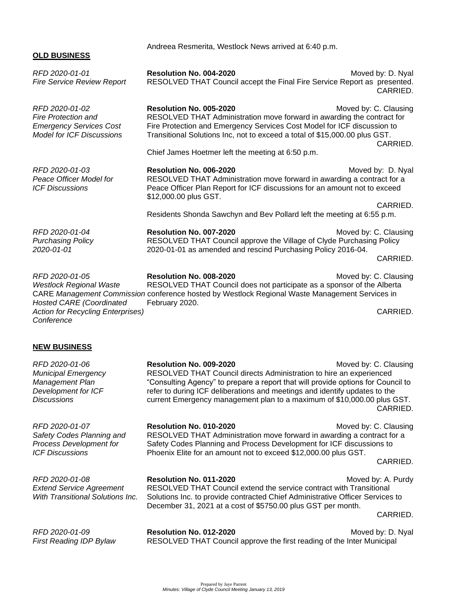| <b>OLD BUSINESS</b>                                                                                                                           |                                                                                                                                                                                                                                                                                                                                             |                                            |
|-----------------------------------------------------------------------------------------------------------------------------------------------|---------------------------------------------------------------------------------------------------------------------------------------------------------------------------------------------------------------------------------------------------------------------------------------------------------------------------------------------|--------------------------------------------|
| RFD 2020-01-01<br><b>Fire Service Review Report</b>                                                                                           | Resolution No. 004-2020<br>RESOLVED THAT Council accept the Final Fire Service Report as presented.                                                                                                                                                                                                                                         | Moved by: D. Nyal<br>CARRIED.              |
| RFD 2020-01-02<br>Fire Protection and<br><b>Emergency Services Cost</b><br><b>Model for ICF Discussions</b>                                   | Resolution No. 005-2020<br>RESOLVED THAT Administration move forward in awarding the contract for<br>Fire Protection and Emergency Services Cost Model for ICF discussion to<br>Transitional Solutions Inc, not to exceed a total of \$15,000.00 plus GST.<br>Chief James Hoetmer left the meeting at 6:50 p.m.                             | Moved by: C. Clausing<br>CARRIED.          |
| RFD 2020-01-03<br>Peace Officer Model for<br><b>ICF Discussions</b>                                                                           | Resolution No. 006-2020<br>RESOLVED THAT Administration move forward in awarding a contract for a<br>Peace Officer Plan Report for ICF discussions for an amount not to exceed<br>\$12,000.00 plus GST.<br>Residents Shonda Sawchyn and Bev Pollard left the meeting at 6:55 p.m.                                                           | Moved by: D. Nyal<br>CARRIED.              |
| RFD 2020-01-04<br><b>Purchasing Policy</b><br>2020-01-01                                                                                      | Resolution No. 007-2020<br>RESOLVED THAT Council approve the Village of Clyde Purchasing Policy<br>2020-01-01 as amended and rescind Purchasing Policy 2016-04.                                                                                                                                                                             | Moved by: C. Clausing<br>CARRIED.          |
| RFD 2020-01-05<br><b>Westlock Regional Waste</b><br><b>Hosted CARE (Coordinated</b><br><b>Action for Recycling Enterprises)</b><br>Conference | Resolution No. 008-2020<br>RESOLVED THAT Council does not participate as a sponsor of the Alberta<br>CARE Management Commission conference hosted by Westlock Regional Waste Management Services in<br>February 2020.                                                                                                                       | Moved by: C. Clausing<br>CARRIED.          |
| <b>NEW BUSINESS</b>                                                                                                                           |                                                                                                                                                                                                                                                                                                                                             |                                            |
| RFD 2020-01-06<br><b>Municipal Emergency</b><br>Management Plan<br>Development for ICF<br><i>Discussions</i>                                  | Resolution No. 009-2020<br>RESOLVED THAT Council directs Administration to hire an experienced<br>"Consulting Agency" to prepare a report that will provide options for Council to<br>refer to during ICF deliberations and meetings and identify updates to the<br>current Emergency management plan to a maximum of \$10,000.00 plus GST. | Moved by: C. Clausing<br>CARRIED.          |
| RFD 2020-01-07<br>Safety Codes Planning and<br>Process Development for<br><b>ICF Discussions</b>                                              | Resolution No. 010-2020<br>Moved by: C. Clausing<br>RESOLVED THAT Administration move forward in awarding a contract for a<br>Safety Codes Planning and Process Development for ICF discussions to<br>Phoenix Elite for an amount not to exceed \$12,000.00 plus GST.                                                                       |                                            |
| RFD 2020-01-08<br><b>Extend Service Agreement</b><br><b>With Transitional Solutions Inc.</b>                                                  | Resolution No. 011-2020<br>RESOLVED THAT Council extend the service contract with Transitional<br>Solutions Inc. to provide contracted Chief Administrative Officer Services to<br>December 31, 2021 at a cost of \$5750.00 plus GST per month.                                                                                             | CARRIED.<br>Moved by: A. Purdy<br>CARRIED. |
| RFD 2020-01-09<br>First Reading IDP Bylaw                                                                                                     | Resolution No. 012-2020<br>RESOLVED THAT Council approve the first reading of the Inter Municipal                                                                                                                                                                                                                                           | Moved by: D. Nyal                          |

Andreea Resmerita, Westlock News arrived at 6:40 p.m.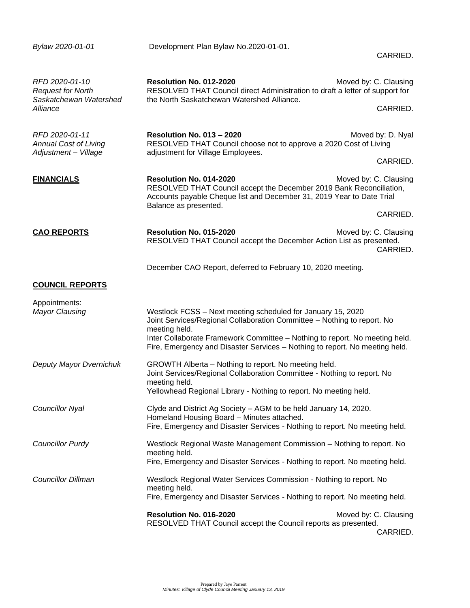| Bylaw 2020-01-01                                                                 | Development Plan Bylaw No.2020-01-01.                                                                                                                                                                                                                                                                                 | CARRIED.                                      |
|----------------------------------------------------------------------------------|-----------------------------------------------------------------------------------------------------------------------------------------------------------------------------------------------------------------------------------------------------------------------------------------------------------------------|-----------------------------------------------|
| RFD 2020-01-10<br><b>Request for North</b><br>Saskatchewan Watershed<br>Alliance | Resolution No. 012-2020<br>RESOLVED THAT Council direct Administration to draft a letter of support for<br>the North Saskatchewan Watershed Alliance.                                                                                                                                                                 | Moved by: C. Clausing<br>CARRIED.             |
| RFD 2020-01-11<br><b>Annual Cost of Living</b><br>Adjustment - Village           | <b>Resolution No. 013 - 2020</b><br>RESOLVED THAT Council choose not to approve a 2020 Cost of Living<br>adjustment for Village Employees.                                                                                                                                                                            | Moved by: D. Nyal                             |
| <b>FINANCIALS</b>                                                                | Resolution No. 014-2020<br>RESOLVED THAT Council accept the December 2019 Bank Reconciliation,<br>Accounts payable Cheque list and December 31, 2019 Year to Date Trial<br>Balance as presented.                                                                                                                      | CARRIED.<br>Moved by: C. Clausing             |
| <b>CAO REPORTS</b>                                                               | Resolution No. 015-2020<br>RESOLVED THAT Council accept the December Action List as presented.                                                                                                                                                                                                                        | CARRIED.<br>Moved by: C. Clausing<br>CARRIED. |
|                                                                                  | December CAO Report, deferred to February 10, 2020 meeting.                                                                                                                                                                                                                                                           |                                               |
| <b>COUNCIL REPORTS</b>                                                           |                                                                                                                                                                                                                                                                                                                       |                                               |
| Appointments:<br><b>Mayor Clausing</b>                                           | Westlock FCSS - Next meeting scheduled for January 15, 2020<br>Joint Services/Regional Collaboration Committee - Nothing to report. No<br>meeting held.<br>Inter Collaborate Framework Committee - Nothing to report. No meeting held.<br>Fire, Emergency and Disaster Services - Nothing to report. No meeting held. |                                               |
| Deputy Mayor Dvernichuk                                                          | GROWTH Alberta - Nothing to report. No meeting held.<br>Joint Services/Regional Collaboration Committee - Nothing to report. No<br>meeting held.<br>Yellowhead Regional Library - Nothing to report. No meeting held.                                                                                                 |                                               |
| <b>Councillor Nyal</b>                                                           | Clyde and District Ag Society – AGM to be held January 14, 2020.<br>Homeland Housing Board - Minutes attached.<br>Fire, Emergency and Disaster Services - Nothing to report. No meeting held.                                                                                                                         |                                               |
| <b>Councillor Purdy</b>                                                          | Westlock Regional Waste Management Commission - Nothing to report. No<br>meeting held.<br>Fire, Emergency and Disaster Services - Nothing to report. No meeting held.                                                                                                                                                 |                                               |
| <b>Councillor Dillman</b>                                                        | Westlock Regional Water Services Commission - Nothing to report. No<br>meeting held.<br>Fire, Emergency and Disaster Services - Nothing to report. No meeting held.                                                                                                                                                   |                                               |
|                                                                                  | Resolution No. 016-2020<br>RESOLVED THAT Council accept the Council reports as presented.                                                                                                                                                                                                                             | Moved by: C. Clausing<br>CARRIED.             |